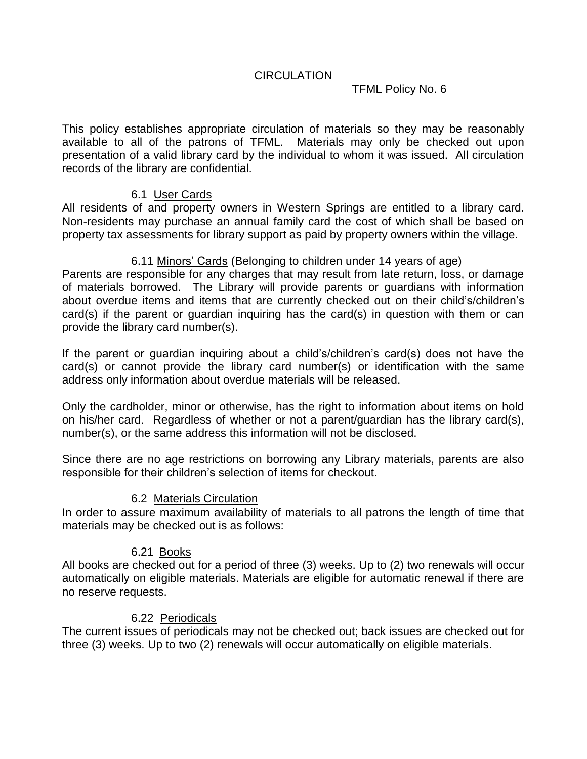# TFML Policy No. 6

This policy establishes appropriate circulation of materials so they may be reasonably available to all of the patrons of TFML. Materials may only be checked out upon presentation of a valid library card by the individual to whom it was issued. All circulation records of the library are confidential.

## 6.1 User Cards

All residents of and property owners in Western Springs are entitled to a library card. Non-residents may purchase an annual family card the cost of which shall be based on property tax assessments for library support as paid by property owners within the village.

## 6.11 Minors' Cards (Belonging to children under 14 years of age)

Parents are responsible for any charges that may result from late return, loss, or damage of materials borrowed. The Library will provide parents or guardians with information about overdue items and items that are currently checked out on their child's/children's card(s) if the parent or guardian inquiring has the card(s) in question with them or can provide the library card number(s).

If the parent or guardian inquiring about a child's/children's card(s) does not have the card(s) or cannot provide the library card number(s) or identification with the same address only information about overdue materials will be released.

Only the cardholder, minor or otherwise, has the right to information about items on hold on his/her card. Regardless of whether or not a parent/guardian has the library card(s), number(s), or the same address this information will not be disclosed.

Since there are no age restrictions on borrowing any Library materials, parents are also responsible for their children's selection of items for checkout.

## 6.2 Materials Circulation

In order to assure maximum availability of materials to all patrons the length of time that materials may be checked out is as follows:

## 6.21 Books

All books are checked out for a period of three (3) weeks. Up to (2) two renewals will occur automatically on eligible materials. Materials are eligible for automatic renewal if there are no reserve requests.

#### 6.22 Periodicals

The current issues of periodicals may not be checked out; back issues are checked out for three (3) weeks. Up to two (2) renewals will occur automatically on eligible materials.